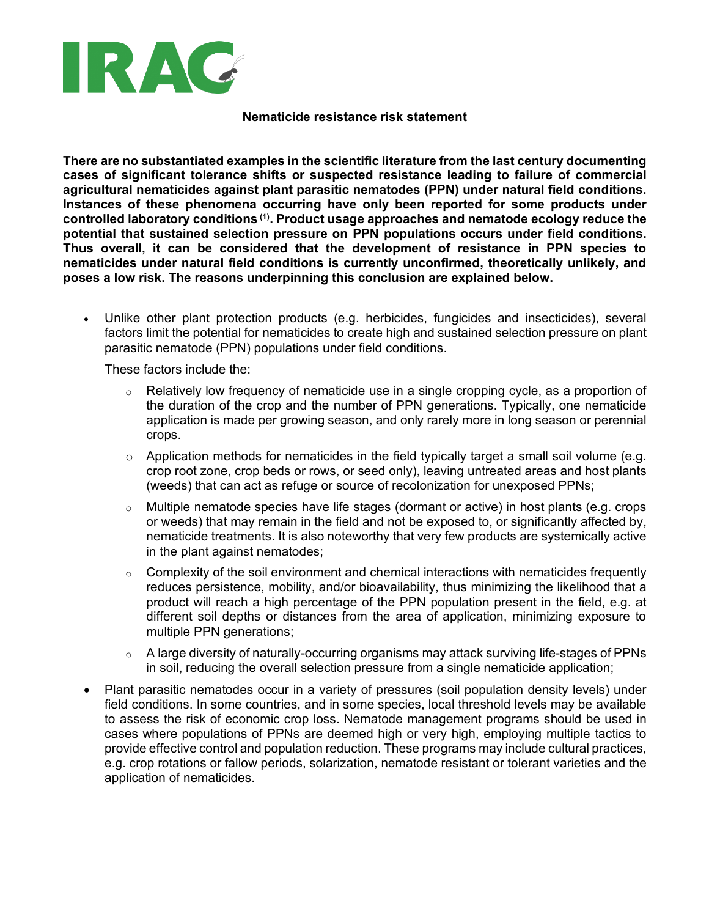

## **Nematicide resistance risk statement**

**There are no substantiated examples in the scientific literature from the last century documenting cases of significant tolerance shifts or suspected resistance leading to failure of commercial agricultural nematicides against plant parasitic nematodes (PPN) under natural field conditions. Instances of these phenomena occurring have only been reported for some products under controlled laboratory conditions (1). Product usage approaches and nematode ecology reduce the potential that sustained selection pressure on PPN populations occurs under field conditions. Thus overall, it can be considered that the development of resistance in PPN species to nematicides under natural field conditions is currently unconfirmed, theoretically unlikely, and poses a low risk. The reasons underpinning this conclusion are explained below.**

• Unlike other plant protection products (e.g. herbicides, fungicides and insecticides), several factors limit the potential for nematicides to create high and sustained selection pressure on plant parasitic nematode (PPN) populations under field conditions.

These factors include the:

- $\circ$  Relatively low frequency of nematicide use in a single cropping cycle, as a proportion of the duration of the crop and the number of PPN generations. Typically, one nematicide application is made per growing season, and only rarely more in long season or perennial crops.
- $\circ$  Application methods for nematicides in the field typically target a small soil volume (e.g. crop root zone, crop beds or rows, or seed only), leaving untreated areas and host plants (weeds) that can act as refuge or source of recolonization for unexposed PPNs;
- $\circ$  Multiple nematode species have life stages (dormant or active) in host plants (e.g. crops or weeds) that may remain in the field and not be exposed to, or significantly affected by, nematicide treatments. It is also noteworthy that very few products are systemically active in the plant against nematodes;
- o Complexity of the soil environment and chemical interactions with nematicides frequently reduces persistence, mobility, and/or bioavailability, thus minimizing the likelihood that a product will reach a high percentage of the PPN population present in the field, e.g. at different soil depths or distances from the area of application, minimizing exposure to multiple PPN generations;
- $\circ$  A large diversity of naturally-occurring organisms may attack surviving life-stages of PPNs in soil, reducing the overall selection pressure from a single nematicide application;
- Plant parasitic nematodes occur in a variety of pressures (soil population density levels) under field conditions. In some countries, and in some species, local threshold levels may be available to assess the risk of economic crop loss. Nematode management programs should be used in cases where populations of PPNs are deemed high or very high, employing multiple tactics to provide effective control and population reduction. These programs may include cultural practices, e.g. crop rotations or fallow periods, solarization, nematode resistant or tolerant varieties and the application of nematicides.